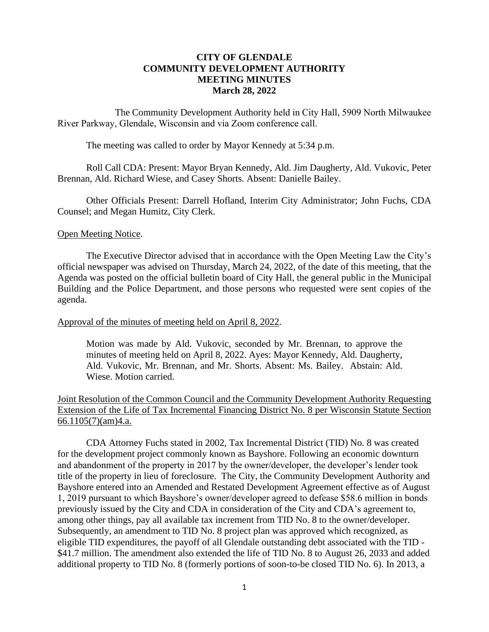## **CITY OF GLENDALE COMMUNITY DEVELOPMENT AUTHORITY MEETING MINUTES March 28, 2022**

The Community Development Authority held in City Hall, 5909 North Milwaukee River Parkway, Glendale, Wisconsin and via Zoom conference call.

The meeting was called to order by Mayor Kennedy at 5:34 p.m.

Roll Call CDA: Present: Mayor Bryan Kennedy, Ald. Jim Daugherty, Ald. Vukovic, Peter Brennan, Ald. Richard Wiese, and Casey Shorts. Absent: Danielle Bailey.

Other Officials Present: Darrell Hofland, Interim City Administrator; John Fuchs, CDA Counsel; and Megan Humitz, City Clerk.

### Open Meeting Notice.

The Executive Director advised that in accordance with the Open Meeting Law the City's official newspaper was advised on Thursday, March 24, 2022, of the date of this meeting, that the Agenda was posted on the official bulletin board of City Hall, the general public in the Municipal Building and the Police Department, and those persons who requested were sent copies of the agenda.

### Approval of the minutes of meeting held on April 8, 2022.

Motion was made by Ald. Vukovic, seconded by Mr. Brennan, to approve the minutes of meeting held on April 8, 2022. Ayes: Mayor Kennedy, Ald. Daugherty, Ald. Vukovic, Mr. Brennan, and Mr. Shorts. Absent: Ms. Bailey. Abstain: Ald. Wiese. Motion carried.

# Joint Resolution of the Common Council and the Community Development Authority Requesting Extension of the Life of Tax Incremental Financing District No. 8 per Wisconsin Statute Section  $66.1105(7)(am)4.a.$

CDA Attorney Fuchs stated in 2002, Tax Incremental District (TID) No. 8 was created for the development project commonly known as Bayshore. Following an economic downturn and abandonment of the property in 2017 by the owner/developer, the developer's lender took title of the property in lieu of foreclosure. The City, the Community Development Authority and Bayshore entered into an Amended and Restated Development Agreement effective as of August 1, 2019 pursuant to which Bayshore's owner/developer agreed to defease \$58.6 million in bonds previously issued by the City and CDA in consideration of the City and CDA's agreement to, among other things, pay all available tax increment from TID No. 8 to the owner/developer. Subsequently, an amendment to TID No. 8 project plan was approved which recognized, as eligible TID expenditures, the payoff of all Glendale outstanding debt associated with the TID - \$41.7 million. The amendment also extended the life of TID No. 8 to August 26, 2033 and added additional property to TID No. 8 (formerly portions of soon-to-be closed TID No. 6). In 2013, a